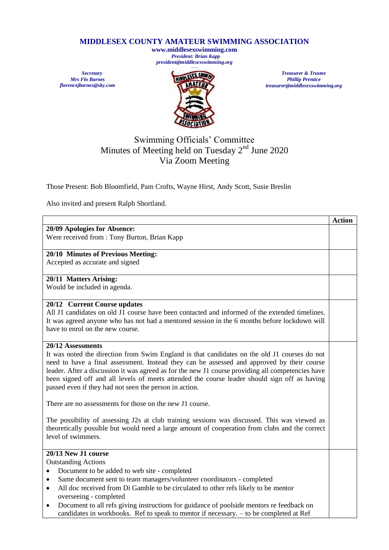## **MIDDLESEX COUNTY AMATEUR SWIMMING ASSOCIATION**

**www.middlesexswimming.com**  *President: Brian Kapp president@middlesexswimming.org*

*Secretary Mrs Flo Barnes florencejbarnes@sky.com*



*Treasurer & Trustee Phillip Prentice treasurer@middlesexswimming.org*

# Swimming Officials' Committee Minutes of Meeting held on Tuesday 2<sup>nd</sup> June 2020 Via Zoom Meeting

Those Present: Bob Bloomfield, Pam Crofts, Wayne Hirst, Andy Scott, Susie Breslin

Also invited and present Ralph Shortland.

|                                                                                                                                  | <b>Action</b> |  |  |  |
|----------------------------------------------------------------------------------------------------------------------------------|---------------|--|--|--|
| 20/09 Apologies for Absence:                                                                                                     |               |  |  |  |
| Were received from : Tony Burton, Brian Kapp                                                                                     |               |  |  |  |
|                                                                                                                                  |               |  |  |  |
| 20/10 Minutes of Previous Meeting:                                                                                               |               |  |  |  |
| Accepted as accurate and signed                                                                                                  |               |  |  |  |
|                                                                                                                                  |               |  |  |  |
| 20/11 Matters Arising:                                                                                                           |               |  |  |  |
| Would be included in agenda.                                                                                                     |               |  |  |  |
| 20/12 Current Course updates                                                                                                     |               |  |  |  |
| All J1 candidates on old J1 course have been contacted and informed of the extended timelines.                                   |               |  |  |  |
|                                                                                                                                  |               |  |  |  |
| It was agreed anyone who has not had a mentored session in the 6 months before lockdown will<br>have to enrol on the new course. |               |  |  |  |
|                                                                                                                                  |               |  |  |  |
| 20/12 Assessments                                                                                                                |               |  |  |  |
| It was noted the direction from Swim England is that candidates on the old J1 courses do not                                     |               |  |  |  |
| need to have a final assessment. Instead they can be assessed and approved by their course                                       |               |  |  |  |
| leader. After a discussion it was agreed as for the new J1 course providing all competencies have                                |               |  |  |  |
| been signed off and all levels of meets attended the course leader should sign off as having                                     |               |  |  |  |
| passed even if they had not seen the person in action.                                                                           |               |  |  |  |
|                                                                                                                                  |               |  |  |  |
| There are no assessments for those on the new J1 course.                                                                         |               |  |  |  |
|                                                                                                                                  |               |  |  |  |
| The possibility of assessing J2s at club training sessions was discussed. This was viewed as                                     |               |  |  |  |
| theoretically possible but would need a large amount of cooperation from clubs and the correct                                   |               |  |  |  |
| level of swimmers.                                                                                                               |               |  |  |  |
| 20/13 New J1 course                                                                                                              |               |  |  |  |
| <b>Outstanding Actions</b>                                                                                                       |               |  |  |  |
| Document to be added to web site - completed<br>٠                                                                                |               |  |  |  |
| Same document sent to team managers/volunteer coordinators - completed<br>$\bullet$                                              |               |  |  |  |
| All doc received from Di Gamble to be circulated to other refs likely to be mentor<br>$\bullet$                                  |               |  |  |  |
| overseeing - completed                                                                                                           |               |  |  |  |
| Document to all refs giving instructions for guidance of poolside mentors re feedback on<br>$\bullet$                            |               |  |  |  |
| candidates in workbooks. Ref to speak to mentor if necessary. – to be completed at Ref                                           |               |  |  |  |